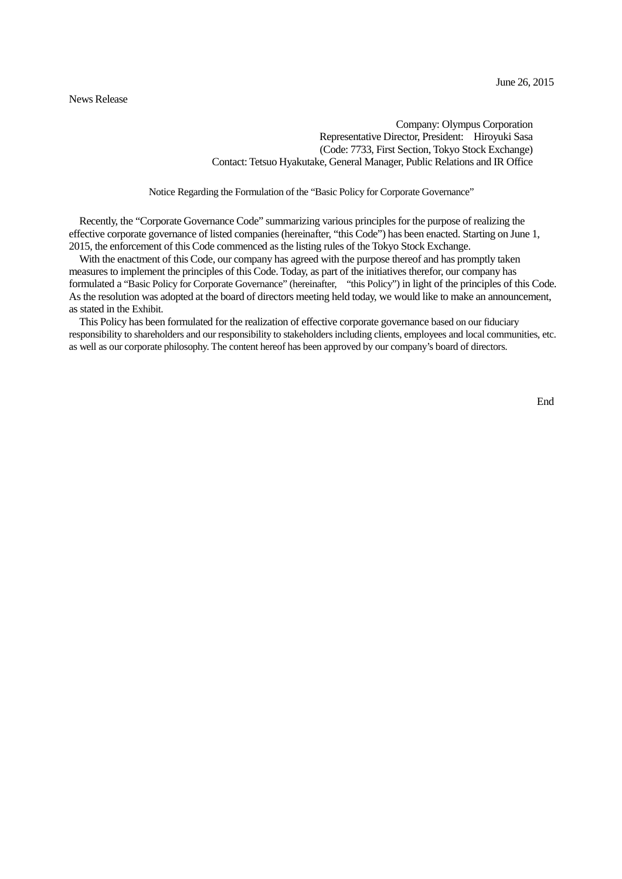#### News Release

Company: Olympus Corporation Representative Director, President: Hiroyuki Sasa (Code: 7733, First Section, Tokyo Stock Exchange) Contact: Tetsuo Hyakutake, General Manager, Public Relations and IR Office

Notice Regarding the Formulation of the "Basic Policy for Corporate Governance"

Recently, the "Corporate Governance Code" summarizing various principles for the purpose of realizing the effective corporate governance of listed companies (hereinafter, "this Code") has been enacted. Starting on June 1, 2015, the enforcement of this Code commenced as the listing rules of the Tokyo Stock Exchange.

With the enactment of this Code, our company has agreed with the purpose thereof and has promptly taken measures to implement the principles of this Code. Today, as part of the initiatives therefor, our company has formulated a "Basic Policy for Corporate Governance" (hereinafter, "this Policy") in light of the principles of this Code. As the resolution was adopted at the board of directors meeting held today, we would like to make an announcement, as stated in the Exhibit.

This Policy has been formulated for the realization of effective corporate governance based on our fiduciary responsibility to shareholders and our responsibility to stakeholders including clients, employees and local communities, etc. as well as our corporate philosophy. The content hereof has been approved by our company's board of directors.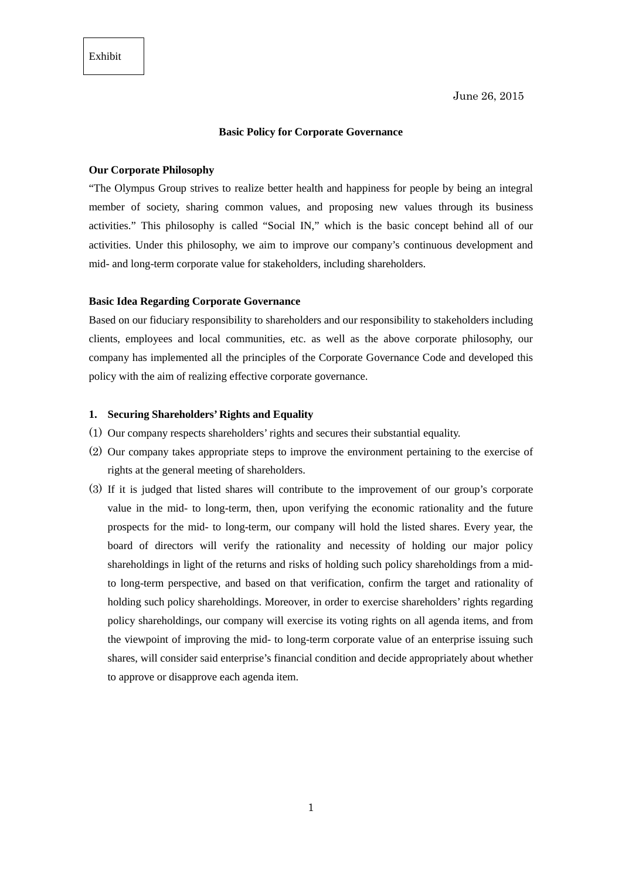# **Basic Policy for Corporate Governance**

# **Our Corporate Philosophy**

"The Olympus Group strives to realize better health and happiness for people by being an integral member of society, sharing common values, and proposing new values through its business activities." This philosophy is called "Social IN," which is the basic concept behind all of our activities. Under this philosophy, we aim to improve our company's continuous development and mid- and long-term corporate value for stakeholders, including shareholders.

#### **Basic Idea Regarding Corporate Governance**

Based on our fiduciary responsibility to shareholders and our responsibility to stakeholders including clients, employees and local communities, etc. as well as the above corporate philosophy, our company has implemented all the principles of the Corporate Governance Code and developed this policy with the aim of realizing effective corporate governance.

# **1. Securing Shareholders' Rights and Equality**

- (1) Our company respects shareholders' rights and secures their substantial equality.
- (2) Our company takes appropriate steps to improve the environment pertaining to the exercise of rights at the general meeting of shareholders.
- (3) If it is judged that listed shares will contribute to the improvement of our group's corporate value in the mid- to long-term, then, upon verifying the economic rationality and the future prospects for the mid- to long-term, our company will hold the listed shares. Every year, the board of directors will verify the rationality and necessity of holding our major policy shareholdings in light of the returns and risks of holding such policy shareholdings from a midto long-term perspective, and based on that verification, confirm the target and rationality of holding such policy shareholdings. Moreover, in order to exercise shareholders' rights regarding policy shareholdings, our company will exercise its voting rights on all agenda items, and from the viewpoint of improving the mid- to long-term corporate value of an enterprise issuing such shares, will consider said enterprise's financial condition and decide appropriately about whether to approve or disapprove each agenda item.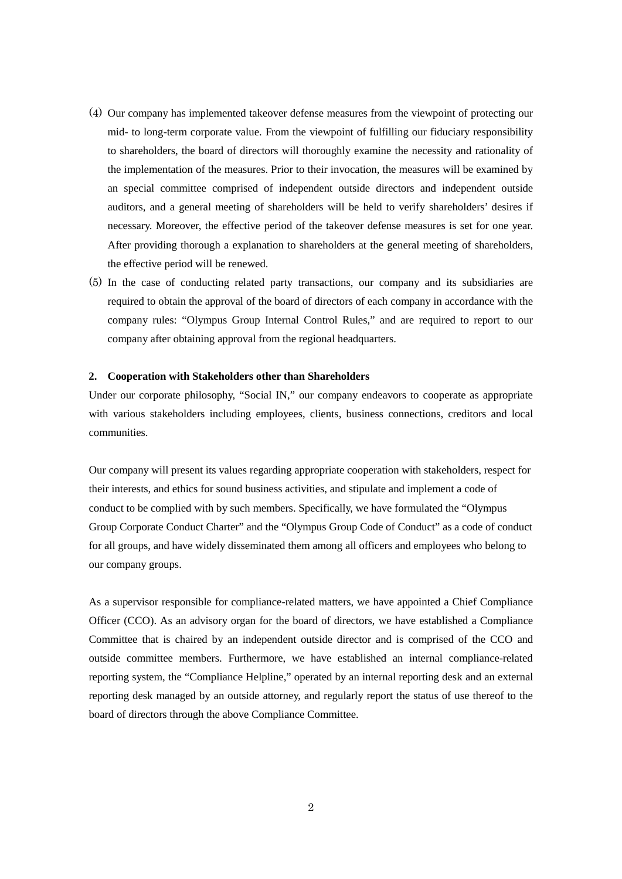- (4) Our company has implemented takeover defense measures from the viewpoint of protecting our mid- to long-term corporate value. From the viewpoint of fulfilling our fiduciary responsibility to shareholders, the board of directors will thoroughly examine the necessity and rationality of the implementation of the measures. Prior to their invocation, the measures will be examined by an special committee comprised of independent outside directors and independent outside auditors, and a general meeting of shareholders will be held to verify shareholders' desires if necessary. Moreover, the effective period of the takeover defense measures is set for one year. After providing thorough a explanation to shareholders at the general meeting of shareholders, the effective period will be renewed.
- (5) In the case of conducting related party transactions, our company and its subsidiaries are required to obtain the approval of the board of directors of each company in accordance with the company rules: "Olympus Group Internal Control Rules," and are required to report to our company after obtaining approval from the regional headquarters.

#### **2. Cooperation with Stakeholders other than Shareholders**

Under our corporate philosophy, "Social IN," our company endeavors to cooperate as appropriate with various stakeholders including employees, clients, business connections, creditors and local communities.

Our company will present its values regarding appropriate cooperation with stakeholders, respect for their interests, and ethics for sound business activities, and stipulate and implement a code of conduct to be complied with by such members. Specifically, we have formulated the "Olympus Group Corporate Conduct Charter" and the "Olympus Group Code of Conduct" as a code of conduct for all groups, and have widely disseminated them among all officers and employees who belong to our company groups.

As a supervisor responsible for compliance-related matters, we have appointed a Chief Compliance Officer (CCO). As an advisory organ for the board of directors, we have established a Compliance Committee that is chaired by an independent outside director and is comprised of the CCO and outside committee members. Furthermore, we have established an internal compliance-related reporting system, the "Compliance Helpline," operated by an internal reporting desk and an external reporting desk managed by an outside attorney, and regularly report the status of use thereof to the board of directors through the above Compliance Committee.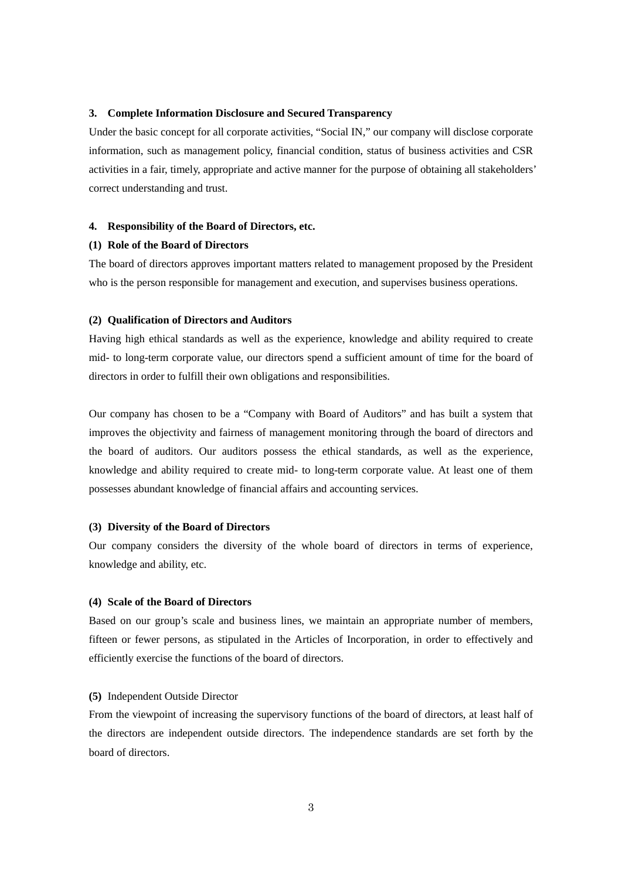# **3. Complete Information Disclosure and Secured Transparency**

Under the basic concept for all corporate activities, "Social IN," our company will disclose corporate information, such as management policy, financial condition, status of business activities and CSR activities in a fair, timely, appropriate and active manner for the purpose of obtaining all stakeholders' correct understanding and trust.

#### **4. Responsibility of the Board of Directors, etc.**

# **(1) Role of the Board of Directors**

The board of directors approves important matters related to management proposed by the President who is the person responsible for management and execution, and supervises business operations.

#### **(2) Qualification of Directors and Auditors**

Having high ethical standards as well as the experience, knowledge and ability required to create mid- to long-term corporate value, our directors spend a sufficient amount of time for the board of directors in order to fulfill their own obligations and responsibilities.

Our company has chosen to be a "Company with Board of Auditors" and has built a system that improves the objectivity and fairness of management monitoring through the board of directors and the board of auditors. Our auditors possess the ethical standards, as well as the experience, knowledge and ability required to create mid- to long-term corporate value. At least one of them possesses abundant knowledge of financial affairs and accounting services.

#### **(3) Diversity of the Board of Directors**

Our company considers the diversity of the whole board of directors in terms of experience, knowledge and ability, etc.

## **(4) Scale of the Board of Directors**

Based on our group's scale and business lines, we maintain an appropriate number of members, fifteen or fewer persons, as stipulated in the Articles of Incorporation, in order to effectively and efficiently exercise the functions of the board of directors.

#### **(5)** Independent Outside Director

From the viewpoint of increasing the supervisory functions of the board of directors, at least half of the directors are independent outside directors. The independence standards are set forth by the board of directors.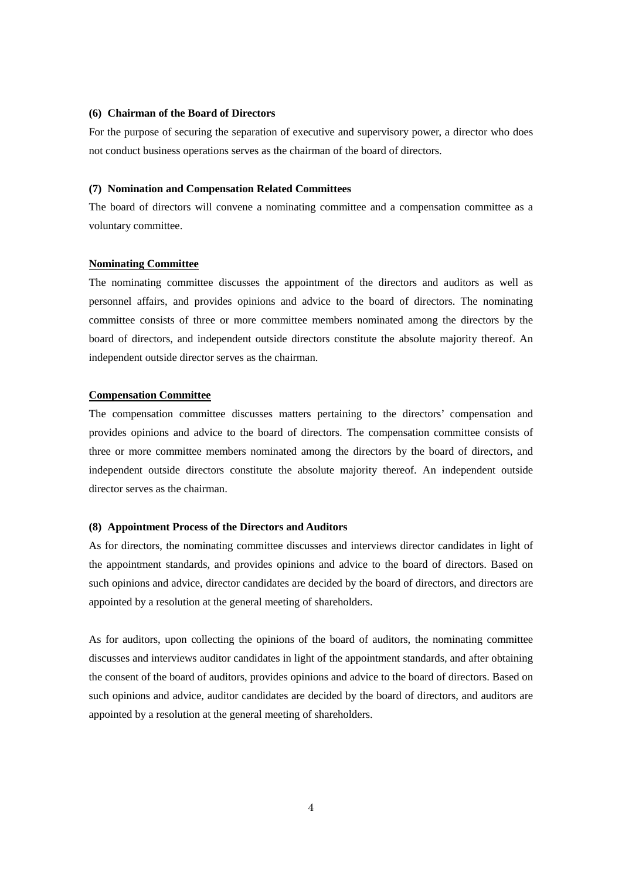# **(6) Chairman of the Board of Directors**

For the purpose of securing the separation of executive and supervisory power, a director who does not conduct business operations serves as the chairman of the board of directors.

## **(7) Nomination and Compensation Related Committees**

The board of directors will convene a nominating committee and a compensation committee as a voluntary committee.

# **Nominating Committee**

The nominating committee discusses the appointment of the directors and auditors as well as personnel affairs, and provides opinions and advice to the board of directors. The nominating committee consists of three or more committee members nominated among the directors by the board of directors, and independent outside directors constitute the absolute majority thereof. An independent outside director serves as the chairman.

## **Compensation Committee**

The compensation committee discusses matters pertaining to the directors' compensation and provides opinions and advice to the board of directors. The compensation committee consists of three or more committee members nominated among the directors by the board of directors, and independent outside directors constitute the absolute majority thereof. An independent outside director serves as the chairman.

#### **(8) Appointment Process of the Directors and Auditors**

As for directors, the nominating committee discusses and interviews director candidates in light of the appointment standards, and provides opinions and advice to the board of directors. Based on such opinions and advice, director candidates are decided by the board of directors, and directors are appointed by a resolution at the general meeting of shareholders.

As for auditors, upon collecting the opinions of the board of auditors, the nominating committee discusses and interviews auditor candidates in light of the appointment standards, and after obtaining the consent of the board of auditors, provides opinions and advice to the board of directors. Based on such opinions and advice, auditor candidates are decided by the board of directors, and auditors are appointed by a resolution at the general meeting of shareholders.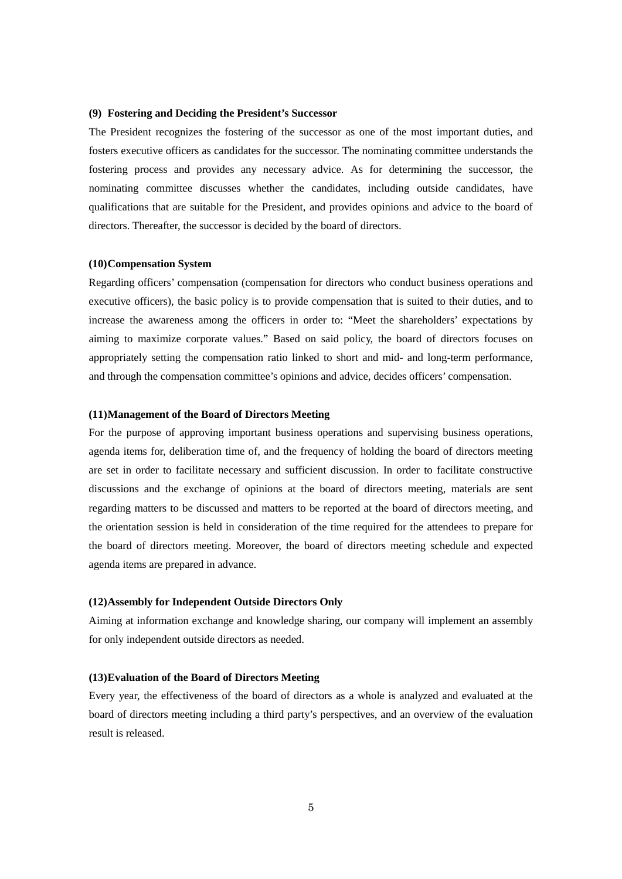## **(9) Fostering and Deciding the President's Successor**

The President recognizes the fostering of the successor as one of the most important duties, and fosters executive officers as candidates for the successor. The nominating committee understands the fostering process and provides any necessary advice. As for determining the successor, the nominating committee discusses whether the candidates, including outside candidates, have qualifications that are suitable for the President, and provides opinions and advice to the board of directors. Thereafter, the successor is decided by the board of directors.

## **(10)Compensation System**

Regarding officers' compensation (compensation for directors who conduct business operations and executive officers), the basic policy is to provide compensation that is suited to their duties, and to increase the awareness among the officers in order to: "Meet the shareholders' expectations by aiming to maximize corporate values." Based on said policy, the board of directors focuses on appropriately setting the compensation ratio linked to short and mid- and long-term performance, and through the compensation committee's opinions and advice, decides officers' compensation.

#### **(11)Management of the Board of Directors Meeting**

For the purpose of approving important business operations and supervising business operations, agenda items for, deliberation time of, and the frequency of holding the board of directors meeting are set in order to facilitate necessary and sufficient discussion. In order to facilitate constructive discussions and the exchange of opinions at the board of directors meeting, materials are sent regarding matters to be discussed and matters to be reported at the board of directors meeting, and the orientation session is held in consideration of the time required for the attendees to prepare for the board of directors meeting. Moreover, the board of directors meeting schedule and expected agenda items are prepared in advance.

## **(12)Assembly for Independent Outside Directors Only**

Aiming at information exchange and knowledge sharing, our company will implement an assembly for only independent outside directors as needed.

#### **(13)Evaluation of the Board of Directors Meeting**

Every year, the effectiveness of the board of directors as a whole is analyzed and evaluated at the board of directors meeting including a third party's perspectives, and an overview of the evaluation result is released.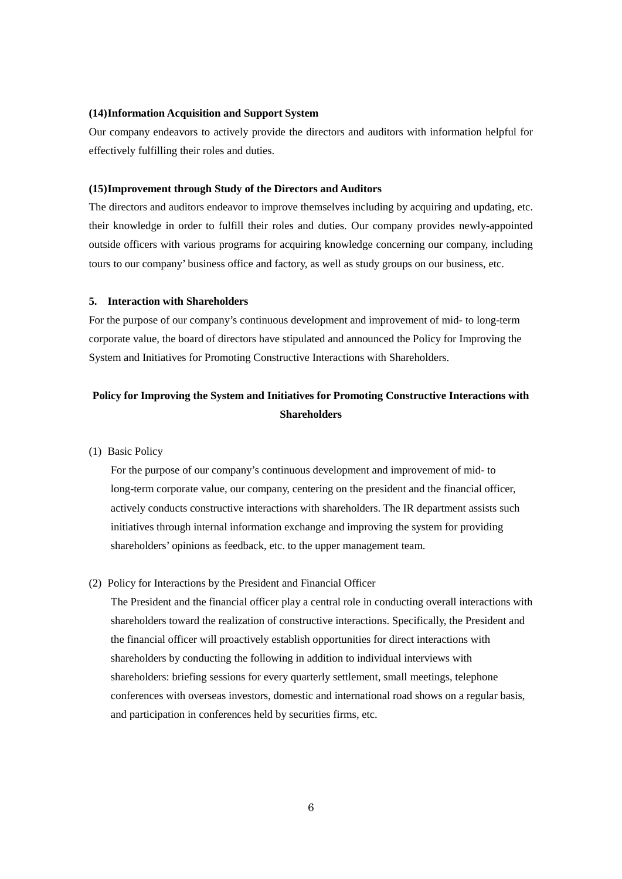## **(14)Information Acquisition and Support System**

Our company endeavors to actively provide the directors and auditors with information helpful for effectively fulfilling their roles and duties.

# **(15)Improvement through Study of the Directors and Auditors**

The directors and auditors endeavor to improve themselves including by acquiring and updating, etc. their knowledge in order to fulfill their roles and duties. Our company provides newly-appointed outside officers with various programs for acquiring knowledge concerning our company, including tours to our company' business office and factory, as well as study groups on our business, etc.

#### **5. Interaction with Shareholders**

For the purpose of our company's continuous development and improvement of mid- to long-term corporate value, the board of directors have stipulated and announced the Policy for Improving the System and Initiatives for Promoting Constructive Interactions with Shareholders.

# **Policy for Improving the System and Initiatives for Promoting Constructive Interactions with Shareholders**

(1) Basic Policy

For the purpose of our company's continuous development and improvement of mid- to long-term corporate value, our company, centering on the president and the financial officer, actively conducts constructive interactions with shareholders. The IR department assists such initiatives through internal information exchange and improving the system for providing shareholders' opinions as feedback, etc. to the upper management team.

(2) Policy for Interactions by the President and Financial Officer

The President and the financial officer play a central role in conducting overall interactions with shareholders toward the realization of constructive interactions. Specifically, the President and the financial officer will proactively establish opportunities for direct interactions with shareholders by conducting the following in addition to individual interviews with shareholders: briefing sessions for every quarterly settlement, small meetings, telephone conferences with overseas investors, domestic and international road shows on a regular basis, and participation in conferences held by securities firms, etc.